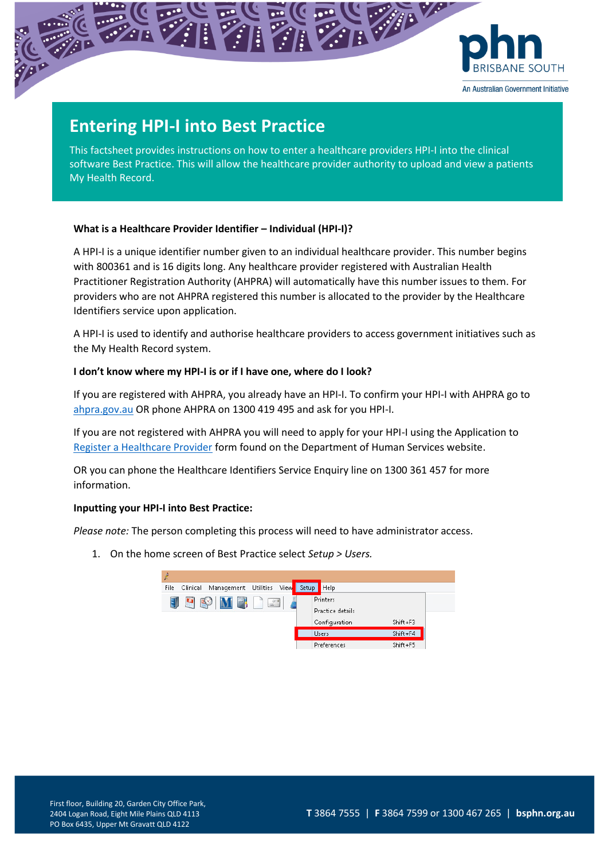

## **Entering HPI-I into Best Practice**

This factsheet provides instructions on how to enter a healthcare providers HPI-I into the clinical software Best Practice. This will allow the healthcare provider authority to upload and view a patients My Health Record.

## **What is a Healthcare Provider Identifier - Individual (HPI-I)?**

A HPI-I is a unique identifier number given to an individual healthcare provider. This number begins with 800361 and is 16 digits long. Any healthcare provider registered with Australian Health Practitioner Registration Authority (AHPRA) will automatically have this number issues to them. For providers who are not AHPRA registered this number is allocated to the provider by the Healthcare Identifiers service upon application.

A HPI-I is used to identify and authorise healthcare providers to access government initiatives such as the My Health Record system.

## **I don't know where my HPI-I is or if I have one, where do I look?**

If you are registered with AHPRA, you already have an HPI-I. To confirm your HPI-I with AHPRA go to [ahpra.gov.au](https://www.ahpra.gov.au/) OR phone AHPRA on 1300 419 495 and ask for you HPI-I.

If you are not registered with AHPRA you will need to apply for your HPI-I using the Application to [Register a Healthcare Provider](https://www.humanservices.gov.au/organisations/health-professionals/forms/hw033) form found on the Department of Human Services website.

OR you can phone the Healthcare Identifiers Service Enquiry line on 1300 361 457 for more information.

## **Inputting your HPI-I into Best Practice:**

*Please note:* The person completing this process will need to have administrator access.

1. On the home screen of Best Practice select *Setup > Users.* 

| View Setup<br>Management Utilities<br>File<br>Clinical | Help                                          |          |
|--------------------------------------------------------|-----------------------------------------------|----------|
| $\sim$ $\frac{1}{2}$<br>黒<br>吗<br>$\frac{6-2}{\pi}$    | Printers<br>Practice details<br>Configuration | Shift+F3 |
|                                                        | <b>Users</b>                                  | Shift+F4 |
|                                                        | Preferences                                   | Shift+F5 |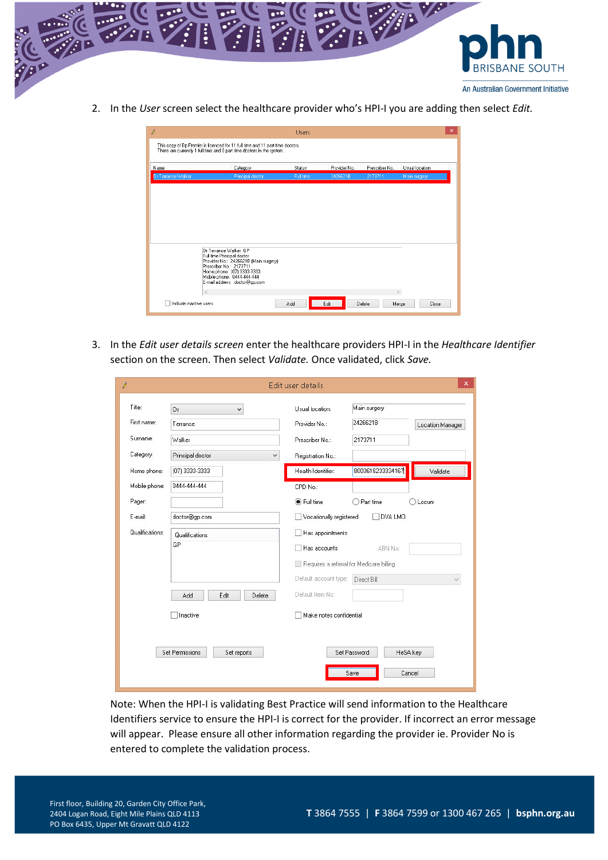

2. In the *User* screen select the healthcare provider who's HPI-I you are adding then select *Edit.* 

| À                      |                                                                                                                                                                                                                      | Users     |              |                |                | $\times$ |
|------------------------|----------------------------------------------------------------------------------------------------------------------------------------------------------------------------------------------------------------------|-----------|--------------|----------------|----------------|----------|
|                        | This copy of Bp Premier is licenced for 11 full time and 11 part time doctors.<br>There are currently 1 full time and 0 part time doctors in the system.                                                             |           |              |                |                |          |
| Name                   | Category                                                                                                                                                                                                             | Status    | Provider No. | Prescriber No. | Usual location |          |
| Dr Terrance Walker     | Principal doctor                                                                                                                                                                                                     | Full time | 2426621B     | 2173711        | Main surgery   |          |
|                        |                                                                                                                                                                                                                      |           |              |                |                |          |
|                        |                                                                                                                                                                                                                      |           |              |                |                |          |
|                        |                                                                                                                                                                                                                      |           |              |                |                |          |
|                        |                                                                                                                                                                                                                      |           |              |                |                |          |
|                        |                                                                                                                                                                                                                      |           |              |                |                |          |
|                        | Dr Terrance Walker GP<br>Full time Principal doctor<br>Provider No.: 2426621B (Main surgery)<br>Prescriber No.: 2173711<br>Home phone: (07) 3333-3333<br>Mobile phone: 0444-444-444<br>E-mail address: doctor@gp.com |           |              |                |                |          |
|                        | $\,<$                                                                                                                                                                                                                |           |              |                | $\mathcal{P}$  |          |
| Include inactive users |                                                                                                                                                                                                                      | Add       | Edit         | Delete         | Close<br>Merge |          |

3. In the *Edit user details screen* enter the healthcare providers HPI-I in the *Healthcare Identifier*  section on the screen. Then select *Validate.* Once validated, click *Save.* 

| è                                              | $\pmb{\times}$<br>Edit user details                                          |                                                                                                                                     |  |  |  |
|------------------------------------------------|------------------------------------------------------------------------------|-------------------------------------------------------------------------------------------------------------------------------------|--|--|--|
| Title:<br>First name:<br>Surname:<br>Category: | Dr<br>$\checkmark$<br>Terrance<br>Walker<br>Principal doctor<br>$\checkmark$ | Main surgery<br>Usual location:<br>2426621B<br>Provider No.:<br>Location Manager<br>Prescriber No.:<br>2173711<br>Registration No.: |  |  |  |
| Home phone:                                    | (07) 3333-3333                                                               | Health Identifier:<br>8003618233334167<br>Validate                                                                                  |  |  |  |
| Mobile phone:<br>Pager:                        | 0444-444-444                                                                 | CPD No.:<br>● Full time<br>Part time<br>Locum                                                                                       |  |  |  |
| E-mail:                                        | doctor@gp.com                                                                | Vocationally registered<br>DVA LMO                                                                                                  |  |  |  |
| Qualifications:                                | Qualifications                                                               | Has appointments                                                                                                                    |  |  |  |
|                                                | GP                                                                           | Has accounts<br>ABN No:<br>Requires a referral for Medicare billing<br>Default account type:<br>Direct Bill                         |  |  |  |
|                                                | Edit<br>Delete<br>Add                                                        | Default Item No:                                                                                                                    |  |  |  |
|                                                | Inactive<br><b>Set Permissions</b>                                           | Make notes confidential<br>Set Password                                                                                             |  |  |  |
|                                                | Set reports                                                                  | HeSA key<br>Save<br>Cancel                                                                                                          |  |  |  |

Note: When the HPI-I is validating Best Practice will send information to the Healthcare Identifiers service to ensure the HPI-I is correct for the provider. If incorrect an error message will appear. Please ensure all other information regarding the provider ie. Provider No is entered to complete the validation process.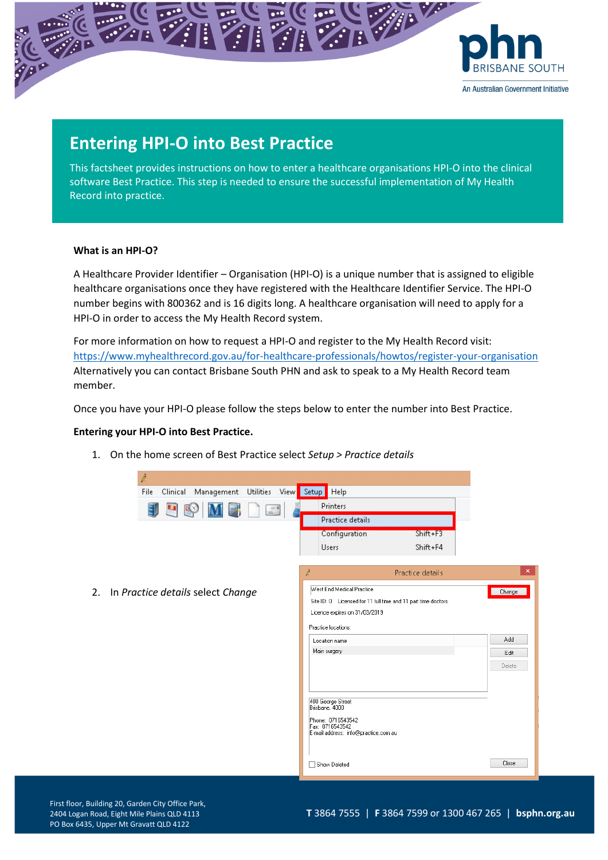

#### An Australian Government Initiative

# **Entering HPI-O into Best Practice**

This factsheet provides instructions on how to enter a healthcare organisations HPI-O into the clinical software Best Practice. This step is needed to ensure the successful implementation of My Health Record into practice.

## **What is an HPI-O?**

A Healthcare Provider Identifier – Organisation (HPI-O) is a unique number that is assigned to eligible healthcare organisations once they have registered with the Healthcare Identifier Service. The HPI-O number begins with 800362 and is 16 digits long. A healthcare organisation will need to apply for a HPI-O in order to access the My Health Record system.

For more information on how to request a HPI-O and register to the My Health Record visit: <https://www.myhealthrecord.gov.au/for-healthcare-professionals/howtos/register-your-organisation> Alternatively you can contact Brisbane South PHN and ask to speak to a My Health Record team member.

Once you have your HPI-O please follow the steps below to enter the number into Best Practice.

### **Entering your HPI-O into Best Practice.**

|                                      | p    |                                               |  |                                                                                                                                                     |                  |                |
|--------------------------------------|------|-----------------------------------------------|--|-----------------------------------------------------------------------------------------------------------------------------------------------------|------------------|----------------|
|                                      | File | Clinical Management Utilities View Setup Help |  |                                                                                                                                                     |                  |                |
|                                      |      |                                               |  | Printers                                                                                                                                            |                  |                |
|                                      |      |                                               |  | Practice details                                                                                                                                    |                  |                |
|                                      |      |                                               |  | Configuration                                                                                                                                       | $Shift + F3$     |                |
|                                      |      |                                               |  | <b>Users</b>                                                                                                                                        | Shift+F4         |                |
|                                      |      |                                               |  | À                                                                                                                                                   | Practice details | $\pmb{\times}$ |
| 2. In Practice details select Change |      |                                               |  | West End Medical Practice<br>Site ID: 0 Licensed for 11 full time and 11 part time doctors.<br>Licence expires on 31/03/2019<br>Practice locations: |                  | Change         |
|                                      |      |                                               |  | Location name                                                                                                                                       |                  | Add            |
|                                      |      |                                               |  | Main surgery                                                                                                                                        |                  | Edit           |
|                                      |      |                                               |  |                                                                                                                                                     |                  | Delete         |
|                                      |      |                                               |  | 400 George Street<br>Brisbane, 4000<br>Phone: 0716543542<br>Fax: 0716543542<br>E-mail address: info@practice.com.au                                 |                  |                |
|                                      |      |                                               |  | Show Deleted                                                                                                                                        |                  | Close          |

1. On the home screen of Best Practice select *Setup > Practice details*